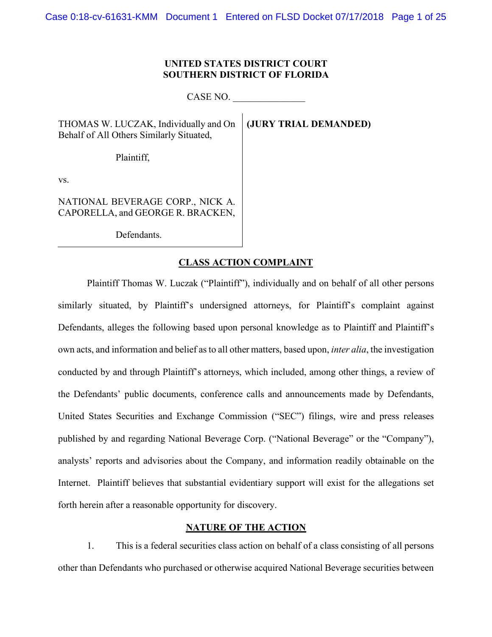## **UNITED STATES DISTRICT COURT SOUTHERN DISTRICT OF FLORIDA**

**(JURY TRIAL DEMANDED)**

CASE NO.

THOMAS W. LUCZAK, Individually and On Behalf of All Others Similarly Situated,

Plaintiff,

vs.

NATIONAL BEVERAGE CORP., NICK A. CAPORELLA, and GEORGE R. BRACKEN,

Defendants.

## **CLASS ACTION COMPLAINT**

Plaintiff Thomas W. Luczak ("Plaintiff"), individually and on behalf of all other persons similarly situated, by Plaintiff's undersigned attorneys, for Plaintiff's complaint against Defendants, alleges the following based upon personal knowledge as to Plaintiff and Plaintiff's own acts, and information and belief as to all other matters, based upon, *inter alia*, the investigation conducted by and through Plaintiff's attorneys, which included, among other things, a review of the Defendants' public documents, conference calls and announcements made by Defendants, United States Securities and Exchange Commission ("SEC") filings, wire and press releases published by and regarding National Beverage Corp. ("National Beverage" or the "Company"), analysts' reports and advisories about the Company, and information readily obtainable on the Internet. Plaintiff believes that substantial evidentiary support will exist for the allegations set forth herein after a reasonable opportunity for discovery.

# **NATURE OF THE ACTION**

1. This is a federal securities class action on behalf of a class consisting of all persons other than Defendants who purchased or otherwise acquired National Beverage securities between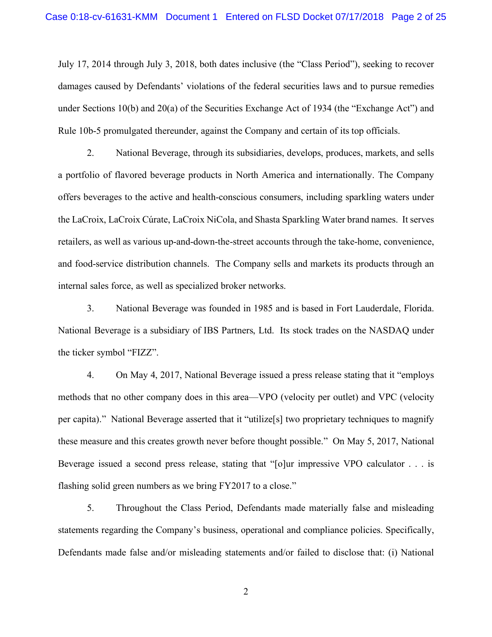July 17, 2014 through July 3, 2018, both dates inclusive (the "Class Period"), seeking to recover damages caused by Defendants' violations of the federal securities laws and to pursue remedies under Sections 10(b) and 20(a) of the Securities Exchange Act of 1934 (the "Exchange Act") and Rule 10b-5 promulgated thereunder, against the Company and certain of its top officials.

2. National Beverage, through its subsidiaries, develops, produces, markets, and sells a portfolio of flavored beverage products in North America and internationally. The Company offers beverages to the active and health-conscious consumers, including sparkling waters under the LaCroix, LaCroix Cúrate, LaCroix NiCola, and Shasta Sparkling Water brand names. It serves retailers, as well as various up-and-down-the-street accounts through the take-home, convenience, and food-service distribution channels. The Company sells and markets its products through an internal sales force, as well as specialized broker networks.

3. National Beverage was founded in 1985 and is based in Fort Lauderdale, Florida. National Beverage is a subsidiary of IBS Partners, Ltd. Its stock trades on the NASDAQ under the ticker symbol "FIZZ".

4. On May 4, 2017, National Beverage issued a press release stating that it "employs methods that no other company does in this area—VPO (velocity per outlet) and VPC (velocity per capita)." National Beverage asserted that it "utilize[s] two proprietary techniques to magnify these measure and this creates growth never before thought possible." On May 5, 2017, National Beverage issued a second press release, stating that "[o]ur impressive VPO calculator . . . is flashing solid green numbers as we bring FY2017 to a close."

5. Throughout the Class Period, Defendants made materially false and misleading statements regarding the Company's business, operational and compliance policies. Specifically, Defendants made false and/or misleading statements and/or failed to disclose that: (i) National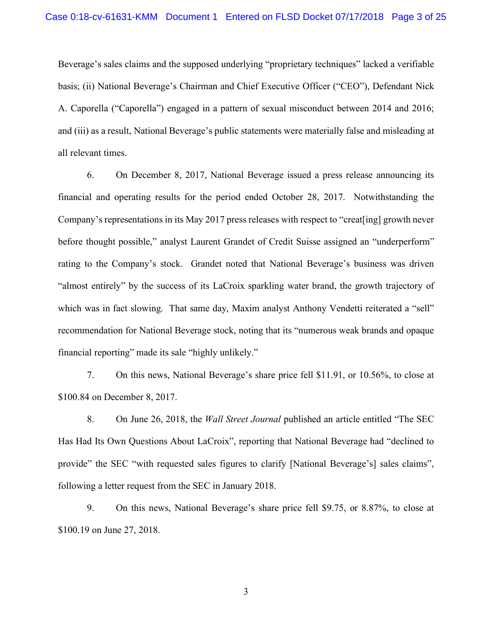Beverage's sales claims and the supposed underlying "proprietary techniques" lacked a verifiable basis; (ii) National Beverage's Chairman and Chief Executive Officer ("CEO"), Defendant Nick A. Caporella ("Caporella") engaged in a pattern of sexual misconduct between 2014 and 2016; and (iii) as a result, National Beverage's public statements were materially false and misleading at all relevant times.

6. On December 8, 2017, National Beverage issued a press release announcing its financial and operating results for the period ended October 28, 2017. Notwithstanding the Company's representations in its May 2017 press releases with respect to "creat[ing] growth never before thought possible," analyst Laurent Grandet of Credit Suisse assigned an "underperform" rating to the Company's stock. Grandet noted that National Beverage's business was driven "almost entirely" by the success of its LaCroix sparkling water brand, the growth trajectory of which was in fact slowing. That same day, Maxim analyst Anthony Vendetti reiterated a "sell" recommendation for National Beverage stock, noting that its "numerous weak brands and opaque financial reporting" made its sale "highly unlikely."

7. On this news, National Beverage's share price fell \$11.91, or 10.56%, to close at \$100.84 on December 8, 2017.

8. On June 26, 2018, the *Wall Street Journal* published an article entitled "The SEC Has Had Its Own Questions About LaCroix", reporting that National Beverage had "declined to provide" the SEC "with requested sales figures to clarify [National Beverage's] sales claims", following a letter request from the SEC in January 2018.

9. On this news, National Beverage's share price fell \$9.75, or 8.87%, to close at \$100.19 on June 27, 2018.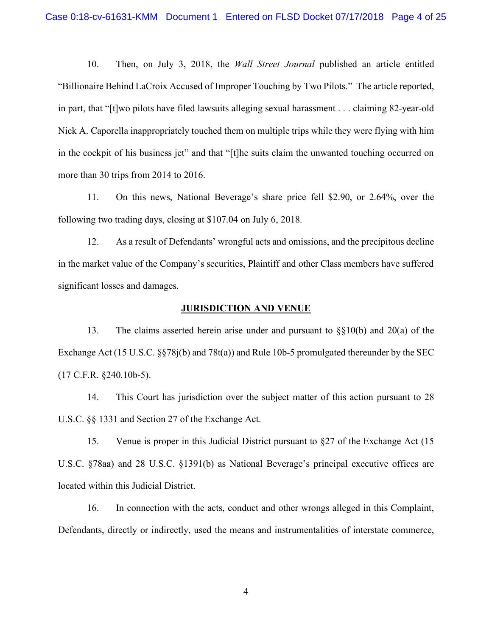10. Then, on July 3, 2018, the *Wall Street Journal* published an article entitled "Billionaire Behind LaCroix Accused of Improper Touching by Two Pilots." The article reported, in part, that "[t]wo pilots have filed lawsuits alleging sexual harassment . . . claiming 82-year-old Nick A. Caporella inappropriately touched them on multiple trips while they were flying with him in the cockpit of his business jet" and that "[t]he suits claim the unwanted touching occurred on more than 30 trips from 2014 to 2016.

11. On this news, National Beverage's share price fell \$2.90, or 2.64%, over the following two trading days, closing at \$107.04 on July 6, 2018.

12. As a result of Defendants' wrongful acts and omissions, and the precipitous decline in the market value of the Company's securities, Plaintiff and other Class members have suffered significant losses and damages.

## **JURISDICTION AND VENUE**

13. The claims asserted herein arise under and pursuant to §§10(b) and 20(a) of the Exchange Act (15 U.S.C. §§78j(b) and 78t(a)) and Rule 10b-5 promulgated thereunder by the SEC (17 C.F.R. §240.10b-5).

14. This Court has jurisdiction over the subject matter of this action pursuant to 28 U.S.C. §§ 1331 and Section 27 of the Exchange Act.

15. Venue is proper in this Judicial District pursuant to §27 of the Exchange Act (15 U.S.C. §78aa) and 28 U.S.C. §1391(b) as National Beverage's principal executive offices are located within this Judicial District.

16. In connection with the acts, conduct and other wrongs alleged in this Complaint, Defendants, directly or indirectly, used the means and instrumentalities of interstate commerce,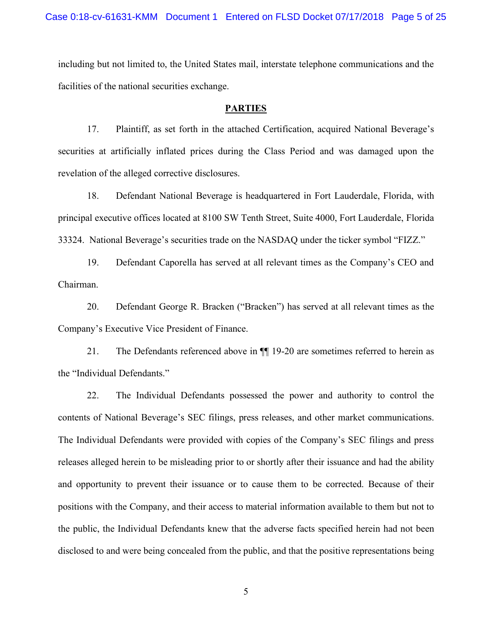including but not limited to, the United States mail, interstate telephone communications and the facilities of the national securities exchange.

## **PARTIES**

17. Plaintiff, as set forth in the attached Certification, acquired National Beverage's securities at artificially inflated prices during the Class Period and was damaged upon the revelation of the alleged corrective disclosures.

18. Defendant National Beverage is headquartered in Fort Lauderdale, Florida, with principal executive offices located at 8100 SW Tenth Street, Suite 4000, Fort Lauderdale, Florida 33324. National Beverage's securities trade on the NASDAQ under the ticker symbol "FIZZ."

19. Defendant Caporella has served at all relevant times as the Company's CEO and Chairman.

20. Defendant George R. Bracken ("Bracken") has served at all relevant times as the Company's Executive Vice President of Finance.

21. The Defendants referenced above in ¶¶ 19-20 are sometimes referred to herein as the "Individual Defendants."

22. The Individual Defendants possessed the power and authority to control the contents of National Beverage's SEC filings, press releases, and other market communications. The Individual Defendants were provided with copies of the Company's SEC filings and press releases alleged herein to be misleading prior to or shortly after their issuance and had the ability and opportunity to prevent their issuance or to cause them to be corrected. Because of their positions with the Company, and their access to material information available to them but not to the public, the Individual Defendants knew that the adverse facts specified herein had not been disclosed to and were being concealed from the public, and that the positive representations being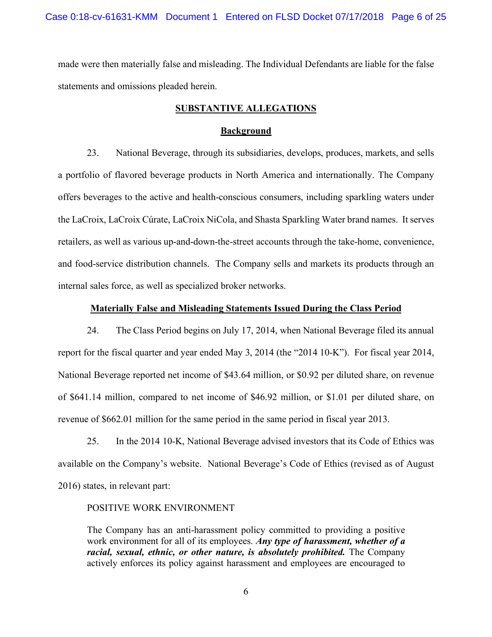made were then materially false and misleading. The Individual Defendants are liable for the false statements and omissions pleaded herein.

## **SUBSTANTIVE ALLEGATIONS**

## **Background**

23. National Beverage, through its subsidiaries, develops, produces, markets, and sells a portfolio of flavored beverage products in North America and internationally. The Company offers beverages to the active and health-conscious consumers, including sparkling waters under the LaCroix, LaCroix Cúrate, LaCroix NiCola, and Shasta Sparkling Water brand names. It serves retailers, as well as various up-and-down-the-street accounts through the take-home, convenience, and food-service distribution channels. The Company sells and markets its products through an internal sales force, as well as specialized broker networks.

## **Materially False and Misleading Statements Issued During the Class Period**

24. The Class Period begins on July 17, 2014, when National Beverage filed its annual report for the fiscal quarter and year ended May 3, 2014 (the "2014 10-K"). For fiscal year 2014, National Beverage reported net income of \$43.64 million, or \$0.92 per diluted share, on revenue of \$641.14 million, compared to net income of \$46.92 million, or \$1.01 per diluted share, on revenue of \$662.01 million for the same period in the same period in fiscal year 2013.

25. In the 2014 10-K, National Beverage advised investors that its Code of Ethics was available on the Company's website. National Beverage's Code of Ethics (revised as of August 2016) states, in relevant part:

## POSITIVE WORK ENVIRONMENT

The Company has an anti-harassment policy committed to providing a positive work environment for all of its employees. *Any type of harassment, whether of a*  racial, sexual, ethnic, or other nature, is absolutely prohibited. The Company actively enforces its policy against harassment and employees are encouraged to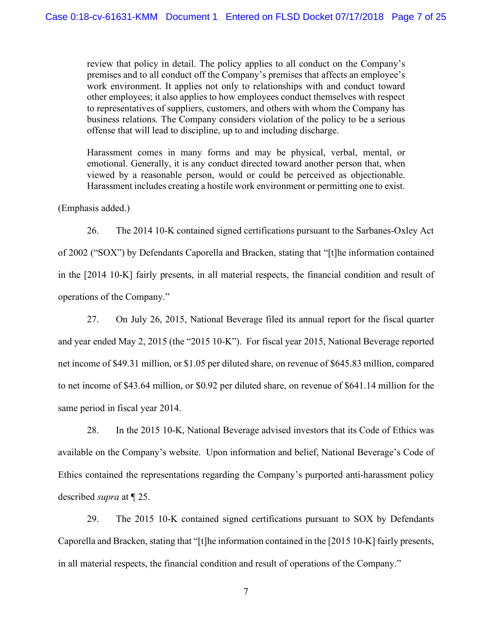review that policy in detail. The policy applies to all conduct on the Company's premises and to all conduct off the Company's premises that affects an employee's work environment. It applies not only to relationships with and conduct toward other employees; it also applies to how employees conduct themselves with respect to representatives of suppliers, customers, and others with whom the Company has business relations. The Company considers violation of the policy to be a serious offense that will lead to discipline, up to and including discharge.

Harassment comes in many forms and may be physical, verbal, mental, or emotional. Generally, it is any conduct directed toward another person that, when viewed by a reasonable person, would or could be perceived as objectionable. Harassment includes creating a hostile work environment or permitting one to exist.

(Emphasis added.)

26. The 2014 10-K contained signed certifications pursuant to the Sarbanes-Oxley Act of 2002 ("SOX") by Defendants Caporella and Bracken, stating that "[t]he information contained in the [2014 10-K] fairly presents, in all material respects, the financial condition and result of operations of the Company."

27. On July 26, 2015, National Beverage filed its annual report for the fiscal quarter and year ended May 2, 2015 (the "2015 10-K"). For fiscal year 2015, National Beverage reported net income of \$49.31 million, or \$1.05 per diluted share, on revenue of \$645.83 million, compared to net income of \$43.64 million, or \$0.92 per diluted share, on revenue of \$641.14 million for the same period in fiscal year 2014.

28. In the 2015 10-K, National Beverage advised investors that its Code of Ethics was available on the Company's website. Upon information and belief, National Beverage's Code of Ethics contained the representations regarding the Company's purported anti-harassment policy described *supra* at ¶ 25.

29. The 2015 10-K contained signed certifications pursuant to SOX by Defendants Caporella and Bracken, stating that "[t]he information contained in the [2015 10-K] fairly presents, in all material respects, the financial condition and result of operations of the Company."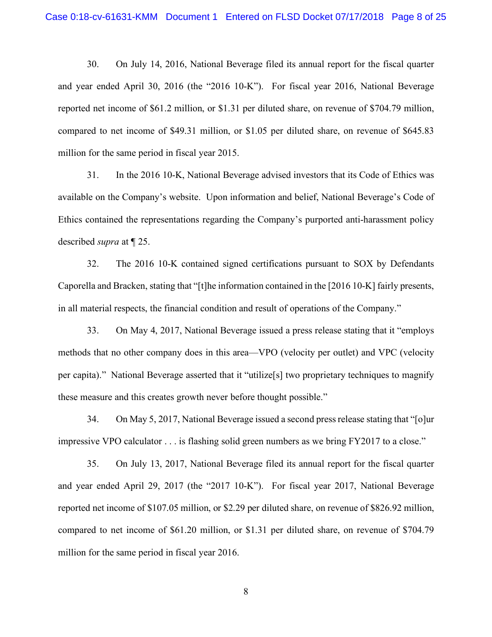30. On July 14, 2016, National Beverage filed its annual report for the fiscal quarter and year ended April 30, 2016 (the "2016 10-K"). For fiscal year 2016, National Beverage reported net income of \$61.2 million, or \$1.31 per diluted share, on revenue of \$704.79 million, compared to net income of \$49.31 million, or \$1.05 per diluted share, on revenue of \$645.83 million for the same period in fiscal year 2015.

31. In the 2016 10-K, National Beverage advised investors that its Code of Ethics was available on the Company's website. Upon information and belief, National Beverage's Code of Ethics contained the representations regarding the Company's purported anti-harassment policy described *supra* at ¶ 25.

32. The 2016 10-K contained signed certifications pursuant to SOX by Defendants Caporella and Bracken, stating that "[t]he information contained in the [2016 10-K] fairly presents, in all material respects, the financial condition and result of operations of the Company."

33. On May 4, 2017, National Beverage issued a press release stating that it "employs methods that no other company does in this area—VPO (velocity per outlet) and VPC (velocity per capita)." National Beverage asserted that it "utilize[s] two proprietary techniques to magnify these measure and this creates growth never before thought possible."

34. On May 5, 2017, National Beverage issued a second press release stating that "[o]ur impressive VPO calculator . . . is flashing solid green numbers as we bring FY2017 to a close."

35. On July 13, 2017, National Beverage filed its annual report for the fiscal quarter and year ended April 29, 2017 (the "2017 10-K"). For fiscal year 2017, National Beverage reported net income of \$107.05 million, or \$2.29 per diluted share, on revenue of \$826.92 million, compared to net income of \$61.20 million, or \$1.31 per diluted share, on revenue of \$704.79 million for the same period in fiscal year 2016.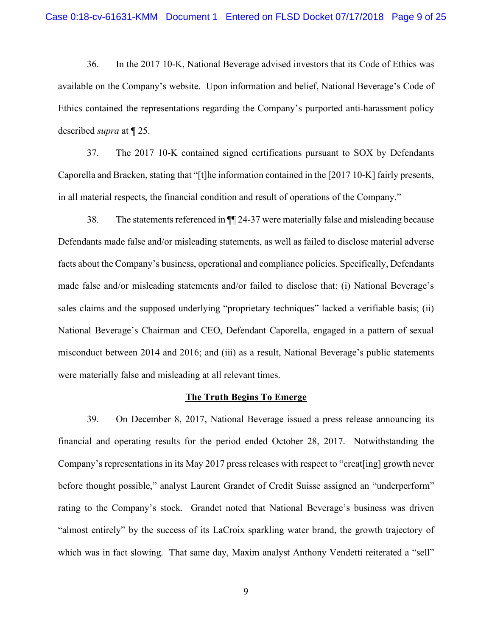36. In the 2017 10-K, National Beverage advised investors that its Code of Ethics was available on the Company's website. Upon information and belief, National Beverage's Code of Ethics contained the representations regarding the Company's purported anti-harassment policy described *supra* at ¶ 25.

37. The 2017 10-K contained signed certifications pursuant to SOX by Defendants Caporella and Bracken, stating that "[t]he information contained in the [2017 10-K] fairly presents, in all material respects, the financial condition and result of operations of the Company."

38. The statements referenced in ¶¶ 24-37 were materially false and misleading because Defendants made false and/or misleading statements, as well as failed to disclose material adverse facts about the Company's business, operational and compliance policies. Specifically, Defendants made false and/or misleading statements and/or failed to disclose that: (i) National Beverage's sales claims and the supposed underlying "proprietary techniques" lacked a verifiable basis; (ii) National Beverage's Chairman and CEO, Defendant Caporella, engaged in a pattern of sexual misconduct between 2014 and 2016; and (iii) as a result, National Beverage's public statements were materially false and misleading at all relevant times.

#### **The Truth Begins To Emerge**

39. On December 8, 2017, National Beverage issued a press release announcing its financial and operating results for the period ended October 28, 2017. Notwithstanding the Company's representations in its May 2017 press releases with respect to "creat[ing] growth never before thought possible," analyst Laurent Grandet of Credit Suisse assigned an "underperform" rating to the Company's stock. Grandet noted that National Beverage's business was driven "almost entirely" by the success of its LaCroix sparkling water brand, the growth trajectory of which was in fact slowing. That same day, Maxim analyst Anthony Vendetti reiterated a "sell"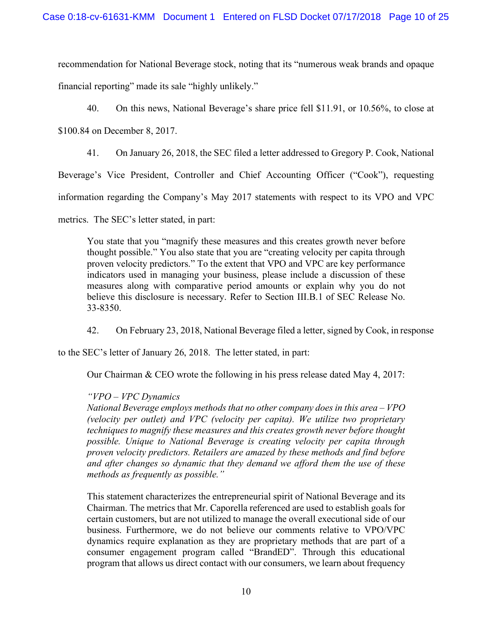recommendation for National Beverage stock, noting that its "numerous weak brands and opaque

financial reporting" made its sale "highly unlikely."

40. On this news, National Beverage's share price fell \$11.91, or 10.56%, to close at

\$100.84 on December 8, 2017.

41. On January 26, 2018, the SEC filed a letter addressed to Gregory P. Cook, National

Beverage's Vice President, Controller and Chief Accounting Officer ("Cook"), requesting

information regarding the Company's May 2017 statements with respect to its VPO and VPC

metrics. The SEC's letter stated, in part:

You state that you "magnify these measures and this creates growth never before thought possible." You also state that you are "creating velocity per capita through proven velocity predictors." To the extent that VPO and VPC are key performance indicators used in managing your business, please include a discussion of these measures along with comparative period amounts or explain why you do not believe this disclosure is necessary. Refer to Section III.B.1 of SEC Release No. 33-8350.

42. On February 23, 2018, National Beverage filed a letter, signed by Cook, in response

to the SEC's letter of January 26, 2018. The letter stated, in part:

Our Chairman & CEO wrote the following in his press release dated May 4, 2017:

## *"VPO – VPC Dynamics*

*National Beverage employs methods that no other company does in this area – VPO (velocity per outlet) and VPC (velocity per capita). We utilize two proprietary techniques to magnify these measures and this creates growth never before thought possible. Unique to National Beverage is creating velocity per capita through proven velocity predictors. Retailers are amazed by these methods and find before and after changes so dynamic that they demand we afford them the use of these methods as frequently as possible."*

This statement characterizes the entrepreneurial spirit of National Beverage and its Chairman. The metrics that Mr. Caporella referenced are used to establish goals for certain customers, but are not utilized to manage the overall executional side of our business. Furthermore, we do not believe our comments relative to VPO/VPC dynamics require explanation as they are proprietary methods that are part of a consumer engagement program called "BrandED". Through this educational program that allows us direct contact with our consumers, we learn about frequency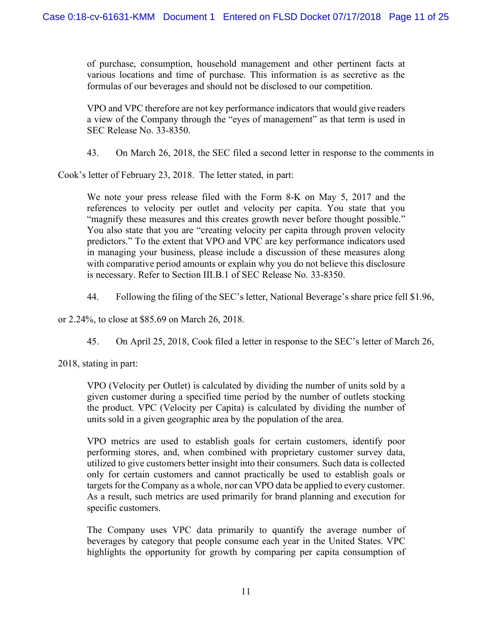of purchase, consumption, household management and other pertinent facts at various locations and time of purchase. This information is as secretive as the formulas of our beverages and should not be disclosed to our competition.

VPO and VPC therefore are not key performance indicators that would give readers a view of the Company through the "eyes of management" as that term is used in SEC Release No. 33-8350.

43. On March 26, 2018, the SEC filed a second letter in response to the comments in

Cook's letter of February 23, 2018. The letter stated, in part:

We note your press release filed with the Form 8-K on May 5, 2017 and the references to velocity per outlet and velocity per capita. You state that you "magnify these measures and this creates growth never before thought possible." You also state that you are "creating velocity per capita through proven velocity predictors." To the extent that VPO and VPC are key performance indicators used in managing your business, please include a discussion of these measures along with comparative period amounts or explain why you do not believe this disclosure is necessary. Refer to Section III.B.1 of SEC Release No. 33-8350.

44. Following the filing of the SEC's letter, National Beverage's share price fell \$1.96,

or 2.24%, to close at \$85.69 on March 26, 2018.

45. On April 25, 2018, Cook filed a letter in response to the SEC's letter of March 26,

2018, stating in part:

VPO (Velocity per Outlet) is calculated by dividing the number of units sold by a given customer during a specified time period by the number of outlets stocking the product. VPC (Velocity per Capita) is calculated by dividing the number of units sold in a given geographic area by the population of the area.

VPO metrics are used to establish goals for certain customers, identify poor performing stores, and, when combined with proprietary customer survey data, utilized to give customers better insight into their consumers. Such data is collected only for certain customers and cannot practically be used to establish goals or targets for the Company as a whole, nor can VPO data be applied to every customer. As a result, such metrics are used primarily for brand planning and execution for specific customers.

The Company uses VPC data primarily to quantify the average number of beverages by category that people consume each year in the United States. VPC highlights the opportunity for growth by comparing per capita consumption of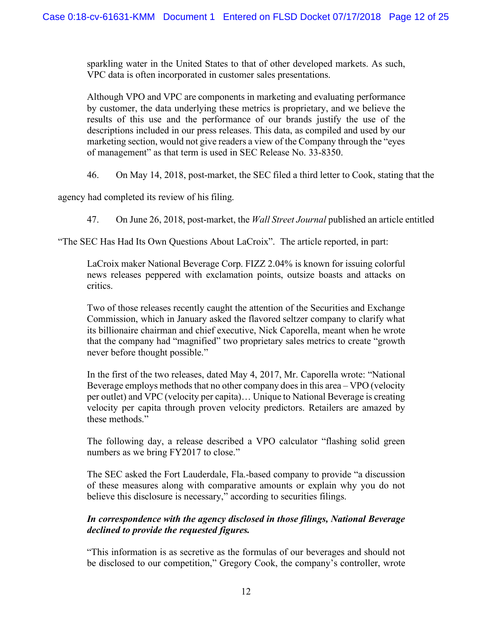sparkling water in the United States to that of other developed markets. As such, VPC data is often incorporated in customer sales presentations.

Although VPO and VPC are components in marketing and evaluating performance by customer, the data underlying these metrics is proprietary, and we believe the results of this use and the performance of our brands justify the use of the descriptions included in our press releases. This data, as compiled and used by our marketing section, would not give readers a view of the Company through the "eyes of management" as that term is used in SEC Release No. 33-8350.

46. On May 14, 2018, post-market, the SEC filed a third letter to Cook, stating that the

agency had completed its review of his filing.

47. On June 26, 2018, post-market, the *Wall Street Journal* published an article entitled

"The SEC Has Had Its Own Questions About LaCroix". The article reported, in part:

LaCroix maker National Beverage Corp. FIZZ 2.04% is known for issuing colorful news releases peppered with exclamation points, outsize boasts and attacks on critics.

Two of those releases recently caught the attention of the Securities and Exchange Commission, which in January asked the flavored seltzer company to clarify what its billionaire chairman and chief executive, Nick Caporella, meant when he wrote that the company had "magnified" two proprietary sales metrics to create "growth never before thought possible."

In the first of the two releases, dated May 4, 2017, Mr. Caporella wrote: "National Beverage employs methods that no other company does in this area – VPO (velocity per outlet) and VPC (velocity per capita)… Unique to National Beverage is creating velocity per capita through proven velocity predictors. Retailers are amazed by these methods"

The following day, a release described a VPO calculator "flashing solid green numbers as we bring FY2017 to close."

The SEC asked the Fort Lauderdale, Fla.-based company to provide "a discussion of these measures along with comparative amounts or explain why you do not believe this disclosure is necessary," according to securities filings.

## *In correspondence with the agency disclosed in those filings, National Beverage declined to provide the requested figures.*

"This information is as secretive as the formulas of our beverages and should not be disclosed to our competition," Gregory Cook, the company's controller, wrote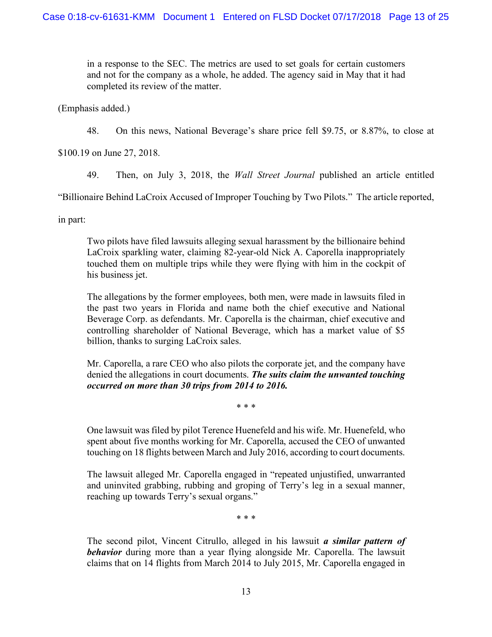in a response to the SEC. The metrics are used to set goals for certain customers and not for the company as a whole, he added. The agency said in May that it had completed its review of the matter.

(Emphasis added.)

48. On this news, National Beverage's share price fell \$9.75, or 8.87%, to close at

\$100.19 on June 27, 2018.

49. Then, on July 3, 2018, the *Wall Street Journal* published an article entitled

"Billionaire Behind LaCroix Accused of Improper Touching by Two Pilots." The article reported,

in part:

Two pilots have filed lawsuits alleging sexual harassment by the billionaire behind LaCroix sparkling water, claiming 82-year-old Nick A. Caporella inappropriately touched them on multiple trips while they were flying with him in the cockpit of his business jet.

The allegations by the former employees, both men, were made in lawsuits filed in the past two years in Florida and name both the chief executive and National Beverage Corp. as defendants. Mr. Caporella is the chairman, chief executive and controlling shareholder of National Beverage, which has a market value of \$5 billion, thanks to surging LaCroix sales.

Mr. Caporella, a rare CEO who also pilots the corporate jet, and the company have denied the allegations in court documents. *The suits claim the unwanted touching occurred on more than 30 trips from 2014 to 2016.*

\* \* \*

One lawsuit was filed by pilot Terence Huenefeld and his wife. Mr. Huenefeld, who spent about five months working for Mr. Caporella, accused the CEO of unwanted touching on 18 flights between March and July 2016, according to court documents.

The lawsuit alleged Mr. Caporella engaged in "repeated unjustified, unwarranted and uninvited grabbing, rubbing and groping of Terry's leg in a sexual manner, reaching up towards Terry's sexual organs."

\* \* \*

The second pilot, Vincent Citrullo, alleged in his lawsuit *a similar pattern of behavior* during more than a year flying alongside Mr. Caporella. The lawsuit claims that on 14 flights from March 2014 to July 2015, Mr. Caporella engaged in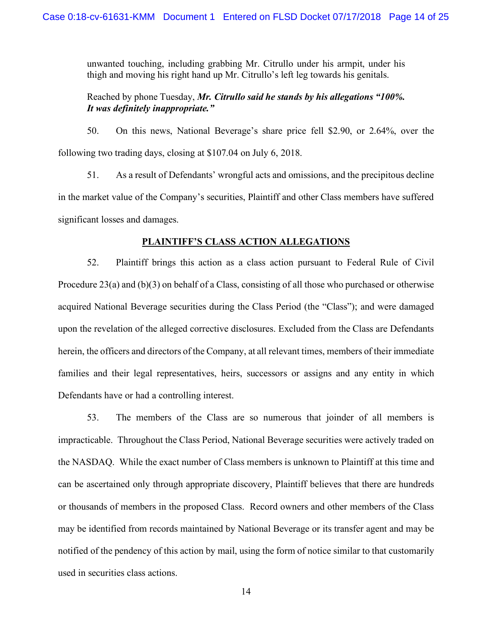unwanted touching, including grabbing Mr. Citrullo under his armpit, under his thigh and moving his right hand up Mr. Citrullo's left leg towards his genitals.

# Reached by phone Tuesday, *Mr. Citrullo said he stands by his allegations "100%. It was definitely inappropriate."*

50. On this news, National Beverage's share price fell \$2.90, or 2.64%, over the following two trading days, closing at \$107.04 on July 6, 2018.

51. As a result of Defendants' wrongful acts and omissions, and the precipitous decline in the market value of the Company's securities, Plaintiff and other Class members have suffered significant losses and damages.

## **PLAINTIFF'S CLASS ACTION ALLEGATIONS**

52. Plaintiff brings this action as a class action pursuant to Federal Rule of Civil Procedure 23(a) and (b)(3) on behalf of a Class, consisting of all those who purchased or otherwise acquired National Beverage securities during the Class Period (the "Class"); and were damaged upon the revelation of the alleged corrective disclosures. Excluded from the Class are Defendants herein, the officers and directors of the Company, at all relevant times, members of their immediate families and their legal representatives, heirs, successors or assigns and any entity in which Defendants have or had a controlling interest.

53. The members of the Class are so numerous that joinder of all members is impracticable. Throughout the Class Period, National Beverage securities were actively traded on the NASDAQ. While the exact number of Class members is unknown to Plaintiff at this time and can be ascertained only through appropriate discovery, Plaintiff believes that there are hundreds or thousands of members in the proposed Class. Record owners and other members of the Class may be identified from records maintained by National Beverage or its transfer agent and may be notified of the pendency of this action by mail, using the form of notice similar to that customarily used in securities class actions.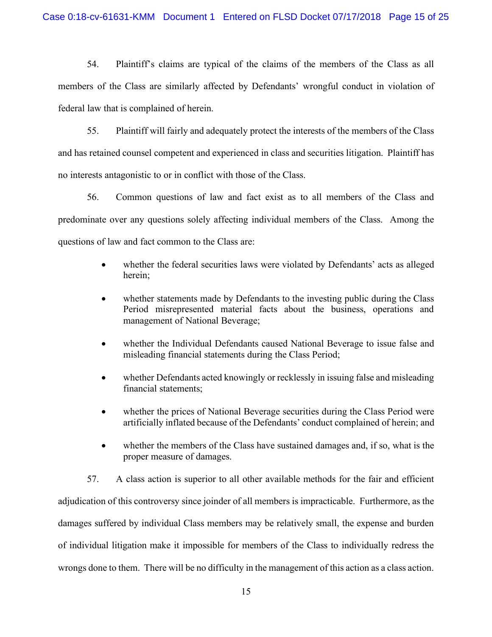54. Plaintiff's claims are typical of the claims of the members of the Class as all members of the Class are similarly affected by Defendants' wrongful conduct in violation of federal law that is complained of herein.

55. Plaintiff will fairly and adequately protect the interests of the members of the Class and has retained counsel competent and experienced in class and securities litigation. Plaintiff has no interests antagonistic to or in conflict with those of the Class.

56. Common questions of law and fact exist as to all members of the Class and predominate over any questions solely affecting individual members of the Class. Among the questions of law and fact common to the Class are:

- whether the federal securities laws were violated by Defendants' acts as alleged herein;
- whether statements made by Defendants to the investing public during the Class Period misrepresented material facts about the business, operations and management of National Beverage;
- whether the Individual Defendants caused National Beverage to issue false and misleading financial statements during the Class Period;
- whether Defendants acted knowingly or recklessly in issuing false and misleading financial statements;
- whether the prices of National Beverage securities during the Class Period were artificially inflated because of the Defendants' conduct complained of herein; and
- whether the members of the Class have sustained damages and, if so, what is the proper measure of damages.

57. A class action is superior to all other available methods for the fair and efficient adjudication of this controversy since joinder of all members is impracticable. Furthermore, as the damages suffered by individual Class members may be relatively small, the expense and burden of individual litigation make it impossible for members of the Class to individually redress the wrongs done to them. There will be no difficulty in the management of this action as a class action.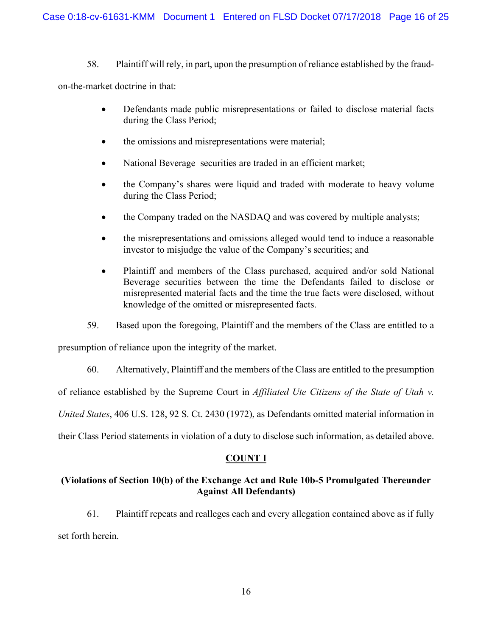58. Plaintiff will rely, in part, upon the presumption of reliance established by the fraud-

on-the-market doctrine in that:

- Defendants made public misrepresentations or failed to disclose material facts during the Class Period;
- the omissions and misrepresentations were material;
- National Beverage securities are traded in an efficient market;
- the Company's shares were liquid and traded with moderate to heavy volume during the Class Period;
- the Company traded on the NASDAQ and was covered by multiple analysts;
- the misrepresentations and omissions alleged would tend to induce a reasonable investor to misjudge the value of the Company's securities; and
- Plaintiff and members of the Class purchased, acquired and/or sold National Beverage securities between the time the Defendants failed to disclose or misrepresented material facts and the time the true facts were disclosed, without knowledge of the omitted or misrepresented facts.
- 59. Based upon the foregoing, Plaintiff and the members of the Class are entitled to a

presumption of reliance upon the integrity of the market.

60. Alternatively, Plaintiff and the members of the Class are entitled to the presumption

of reliance established by the Supreme Court in *Affiliated Ute Citizens of the State of Utah v.* 

*United States*, 406 U.S. 128, 92 S. Ct. 2430 (1972), as Defendants omitted material information in

their Class Period statements in violation of a duty to disclose such information, as detailed above.

## **COUNT I**

# **(Violations of Section 10(b) of the Exchange Act and Rule 10b-5 Promulgated Thereunder Against All Defendants)**

61. Plaintiff repeats and realleges each and every allegation contained above as if fully set forth herein.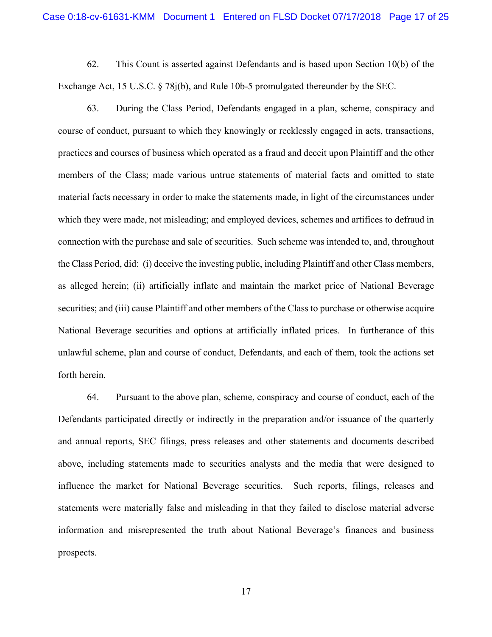62. This Count is asserted against Defendants and is based upon Section 10(b) of the Exchange Act, 15 U.S.C. § 78j(b), and Rule 10b-5 promulgated thereunder by the SEC.

63. During the Class Period, Defendants engaged in a plan, scheme, conspiracy and course of conduct, pursuant to which they knowingly or recklessly engaged in acts, transactions, practices and courses of business which operated as a fraud and deceit upon Plaintiff and the other members of the Class; made various untrue statements of material facts and omitted to state material facts necessary in order to make the statements made, in light of the circumstances under which they were made, not misleading; and employed devices, schemes and artifices to defraud in connection with the purchase and sale of securities. Such scheme was intended to, and, throughout the Class Period, did: (i) deceive the investing public, including Plaintiff and other Class members, as alleged herein; (ii) artificially inflate and maintain the market price of National Beverage securities; and (iii) cause Plaintiff and other members of the Class to purchase or otherwise acquire National Beverage securities and options at artificially inflated prices. In furtherance of this unlawful scheme, plan and course of conduct, Defendants, and each of them, took the actions set forth herein.

64. Pursuant to the above plan, scheme, conspiracy and course of conduct, each of the Defendants participated directly or indirectly in the preparation and/or issuance of the quarterly and annual reports, SEC filings, press releases and other statements and documents described above, including statements made to securities analysts and the media that were designed to influence the market for National Beverage securities. Such reports, filings, releases and statements were materially false and misleading in that they failed to disclose material adverse information and misrepresented the truth about National Beverage's finances and business prospects.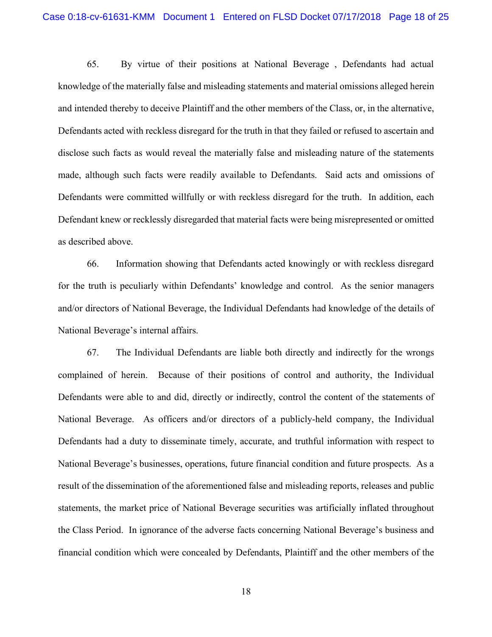65. By virtue of their positions at National Beverage , Defendants had actual knowledge of the materially false and misleading statements and material omissions alleged herein and intended thereby to deceive Plaintiff and the other members of the Class, or, in the alternative, Defendants acted with reckless disregard for the truth in that they failed or refused to ascertain and disclose such facts as would reveal the materially false and misleading nature of the statements made, although such facts were readily available to Defendants. Said acts and omissions of Defendants were committed willfully or with reckless disregard for the truth. In addition, each Defendant knew or recklessly disregarded that material facts were being misrepresented or omitted as described above.

66. Information showing that Defendants acted knowingly or with reckless disregard for the truth is peculiarly within Defendants' knowledge and control. As the senior managers and/or directors of National Beverage, the Individual Defendants had knowledge of the details of National Beverage's internal affairs.

67. The Individual Defendants are liable both directly and indirectly for the wrongs complained of herein. Because of their positions of control and authority, the Individual Defendants were able to and did, directly or indirectly, control the content of the statements of National Beverage. As officers and/or directors of a publicly-held company, the Individual Defendants had a duty to disseminate timely, accurate, and truthful information with respect to National Beverage's businesses, operations, future financial condition and future prospects. As a result of the dissemination of the aforementioned false and misleading reports, releases and public statements, the market price of National Beverage securities was artificially inflated throughout the Class Period. In ignorance of the adverse facts concerning National Beverage's business and financial condition which were concealed by Defendants, Plaintiff and the other members of the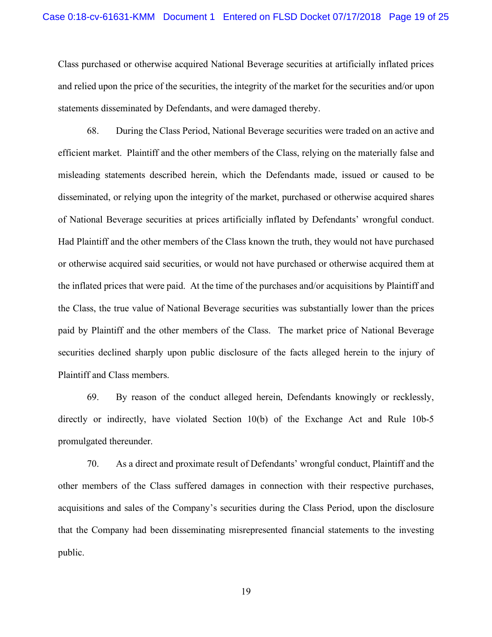Class purchased or otherwise acquired National Beverage securities at artificially inflated prices and relied upon the price of the securities, the integrity of the market for the securities and/or upon statements disseminated by Defendants, and were damaged thereby.

68. During the Class Period, National Beverage securities were traded on an active and efficient market. Plaintiff and the other members of the Class, relying on the materially false and misleading statements described herein, which the Defendants made, issued or caused to be disseminated, or relying upon the integrity of the market, purchased or otherwise acquired shares of National Beverage securities at prices artificially inflated by Defendants' wrongful conduct. Had Plaintiff and the other members of the Class known the truth, they would not have purchased or otherwise acquired said securities, or would not have purchased or otherwise acquired them at the inflated prices that were paid. At the time of the purchases and/or acquisitions by Plaintiff and the Class, the true value of National Beverage securities was substantially lower than the prices paid by Plaintiff and the other members of the Class. The market price of National Beverage securities declined sharply upon public disclosure of the facts alleged herein to the injury of Plaintiff and Class members.

69. By reason of the conduct alleged herein, Defendants knowingly or recklessly, directly or indirectly, have violated Section 10(b) of the Exchange Act and Rule 10b-5 promulgated thereunder.

70. As a direct and proximate result of Defendants' wrongful conduct, Plaintiff and the other members of the Class suffered damages in connection with their respective purchases, acquisitions and sales of the Company's securities during the Class Period, upon the disclosure that the Company had been disseminating misrepresented financial statements to the investing public.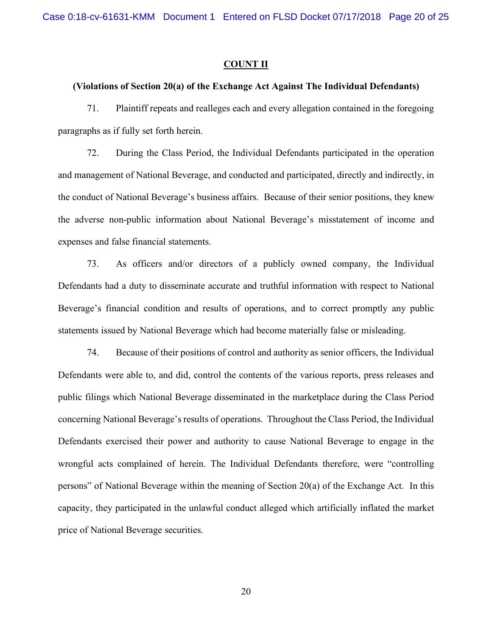Case 0:18-cv-61631-KMM Document 1 Entered on FLSD Docket 07/17/2018 Page 20 of 25

#### **COUNT II**

#### **(Violations of Section 20(a) of the Exchange Act Against The Individual Defendants)**

71. Plaintiff repeats and realleges each and every allegation contained in the foregoing paragraphs as if fully set forth herein.

72. During the Class Period, the Individual Defendants participated in the operation and management of National Beverage, and conducted and participated, directly and indirectly, in the conduct of National Beverage's business affairs. Because of their senior positions, they knew the adverse non-public information about National Beverage's misstatement of income and expenses and false financial statements.

73. As officers and/or directors of a publicly owned company, the Individual Defendants had a duty to disseminate accurate and truthful information with respect to National Beverage's financial condition and results of operations, and to correct promptly any public statements issued by National Beverage which had become materially false or misleading.

74. Because of their positions of control and authority as senior officers, the Individual Defendants were able to, and did, control the contents of the various reports, press releases and public filings which National Beverage disseminated in the marketplace during the Class Period concerning National Beverage's results of operations. Throughout the Class Period, the Individual Defendants exercised their power and authority to cause National Beverage to engage in the wrongful acts complained of herein. The Individual Defendants therefore, were "controlling persons" of National Beverage within the meaning of Section 20(a) of the Exchange Act. In this capacity, they participated in the unlawful conduct alleged which artificially inflated the market price of National Beverage securities.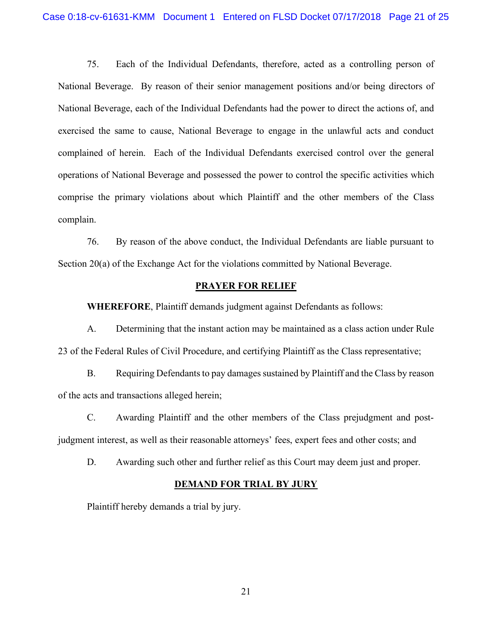75. Each of the Individual Defendants, therefore, acted as a controlling person of National Beverage. By reason of their senior management positions and/or being directors of National Beverage, each of the Individual Defendants had the power to direct the actions of, and exercised the same to cause, National Beverage to engage in the unlawful acts and conduct complained of herein. Each of the Individual Defendants exercised control over the general operations of National Beverage and possessed the power to control the specific activities which comprise the primary violations about which Plaintiff and the other members of the Class complain.

76. By reason of the above conduct, the Individual Defendants are liable pursuant to Section 20(a) of the Exchange Act for the violations committed by National Beverage.

## **PRAYER FOR RELIEF**

**WHEREFORE**, Plaintiff demands judgment against Defendants as follows:

A. Determining that the instant action may be maintained as a class action under Rule 23 of the Federal Rules of Civil Procedure, and certifying Plaintiff as the Class representative;

B. Requiring Defendants to pay damages sustained by Plaintiff and the Class by reason of the acts and transactions alleged herein;

C. Awarding Plaintiff and the other members of the Class prejudgment and postjudgment interest, as well as their reasonable attorneys' fees, expert fees and other costs; and

D. Awarding such other and further relief as this Court may deem just and proper.

## **DEMAND FOR TRIAL BY JURY**

Plaintiff hereby demands a trial by jury.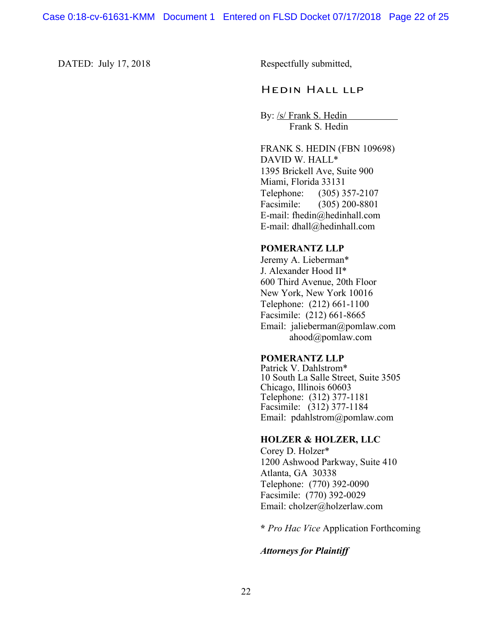DATED: July 17, 2018 Respectfully submitted,

# Hedin Hall llp

By: /s/ Frank S. Hedin Frank S. Hedin

FRANK S. HEDIN (FBN 109698) DAVID W. HALL\* 1395 Brickell Ave, Suite 900 Miami, Florida 33131 Telephone: (305) 357-2107 Facsimile: (305) 200-8801 E-mail: fhedin@hedinhall.com E-mail: dhall@hedinhall.com

#### **POMERANTZ LLP**

Jeremy A. Lieberman\* J. Alexander Hood II\* 600 Third Avenue, 20th Floor New York, New York 10016 Telephone: (212) 661-1100 Facsimile: (212) 661-8665 Email: jalieberman@pomlaw.com ahood@pomlaw.com

# **POMERANTZ LLP**

Patrick V. Dahlstrom\* 10 South La Salle Street, Suite 3505 Chicago, Illinois 60603 Telephone: (312) 377-1181 Facsimile: (312) 377-1184 Email: pdahlstrom@pomlaw.com

## **HOLZER & HOLZER, LLC**

Corey D. Holzer\* 1200 Ashwood Parkway, Suite 410 Atlanta, GA 30338 Telephone: (770) 392-0090 Facsimile: (770) 392-0029 Email: cholzer@holzerlaw.com

**\*** *Pro Hac Vice* Application Forthcoming

#### *Attorneys for Plaintiff*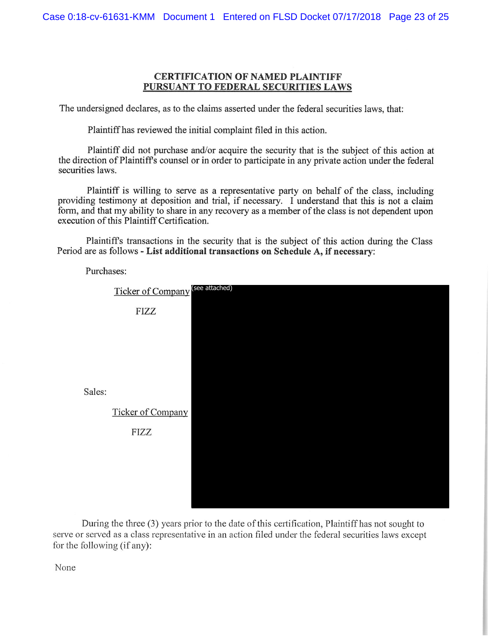## **CERTIFICATION OF NAMED PLAINTIFF** PURSUANT TO FEDERAL SECURITIES LAWS

The undersigned declares, as to the claims asserted under the federal securities laws, that:

Plaintiff has reviewed the initial complaint filed in this action.

Plaintiff did not purchase and/or acquire the security that is the subject of this action at the direction of Plaintiff's counsel or in order to participate in any private action under the federal securities laws.

Plaintiff is willing to serve as a representative party on behalf of the class, including providing testimony at deposition and trial, if necessary. I understand that this is not a claim form, and that my ability to share in any recovery as a member of the class is not dependent upon execution of this Plaintiff Certification.

Plaintiff's transactions in the security that is the subject of this action during the Class Period are as follows - List additional transactions on Schedule A, if necessary:

|        | Ticker of Company (see attached) |  |  |  |
|--------|----------------------------------|--|--|--|
|        | <b>FIZZ</b>                      |  |  |  |
|        |                                  |  |  |  |
|        |                                  |  |  |  |
|        |                                  |  |  |  |
|        |                                  |  |  |  |
| Sales: |                                  |  |  |  |
|        | Ticker of Company                |  |  |  |
|        | FIZZ                             |  |  |  |
|        |                                  |  |  |  |
|        |                                  |  |  |  |
|        |                                  |  |  |  |
|        |                                  |  |  |  |

Purchases:

During the three (3) years prior to the date of this certification, Plaintiff has not sought to serve or served as a class representative in an action filed under the federal securities laws except for the following (if any):

None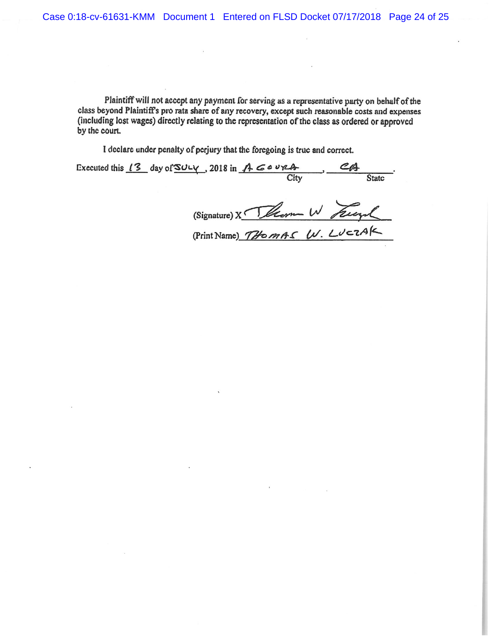Case 0:18-cv-61631-KMM Document 1 Entered on FLSD Docket 07/17/2018 Page 24 of 25

Plaintiff will not accept any payment for serving as a representative party on behalf of the class beyond Plaintiff's pro rata share of any recovery, except such reasonable costs and expenses (including lost wages) directly relating to the representation of the class as ordered or approved by the court.

I declare under penalty of perjury that the foregoing is true and correct.

| Executed this $13$ day of SULY, 2018 in $A G \circ \nu \vee A$ |      | $C_{0}$ |
|----------------------------------------------------------------|------|---------|
|                                                                | City | Statc   |

(Signature) X Theore W Tuyl